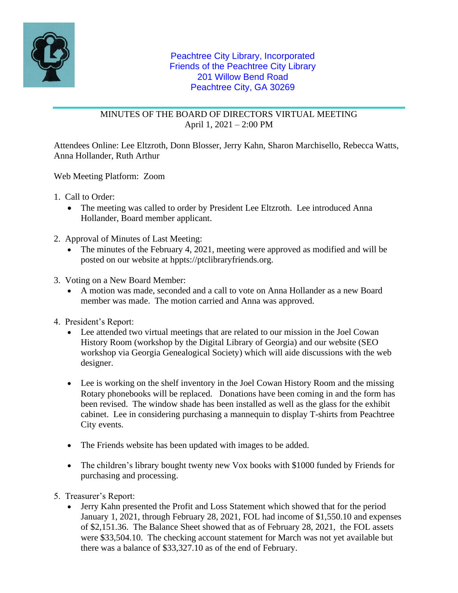

## MINUTES OF THE BOARD OF DIRECTORS VIRTUAL MEETING April 1, 2021 – 2:00 PM

Attendees Online: Lee Eltzroth, Donn Blosser, Jerry Kahn, Sharon Marchisello, Rebecca Watts, Anna Hollander, Ruth Arthur

Web Meeting Platform: Zoom

- 1. Call to Order:
	- The meeting was called to order by President Lee Eltzroth. Lee introduced Anna Hollander, Board member applicant.
- 2. Approval of Minutes of Last Meeting:
	- The minutes of the February 4, 2021, meeting were approved as modified and will be posted on our website at hppts://ptclibraryfriends.org.
- 3. Voting on a New Board Member:
	- A motion was made, seconded and a call to vote on Anna Hollander as a new Board member was made. The motion carried and Anna was approved.
- 4. President's Report:
	- Lee attended two virtual meetings that are related to our mission in the Joel Cowan History Room (workshop by the Digital Library of Georgia) and our website (SEO workshop via Georgia Genealogical Society) which will aide discussions with the web designer.
	- Lee is working on the shelf inventory in the Joel Cowan History Room and the missing Rotary phonebooks will be replaced. Donations have been coming in and the form has been revised. The window shade has been installed as well as the glass for the exhibit cabinet. Lee in considering purchasing a mannequin to display T-shirts from Peachtree City events.
	- The Friends website has been updated with images to be added.
	- The children's library bought twenty new Vox books with \$1000 funded by Friends for purchasing and processing.
- 5. Treasurer's Report:
	- Jerry Kahn presented the Profit and Loss Statement which showed that for the period January 1, 2021, through February 28, 2021, FOL had income of \$1,550.10 and expenses of \$2,151.36. The Balance Sheet showed that as of February 28, 2021, the FOL assets were \$33,504.10. The checking account statement for March was not yet available but there was a balance of \$33,327.10 as of the end of February.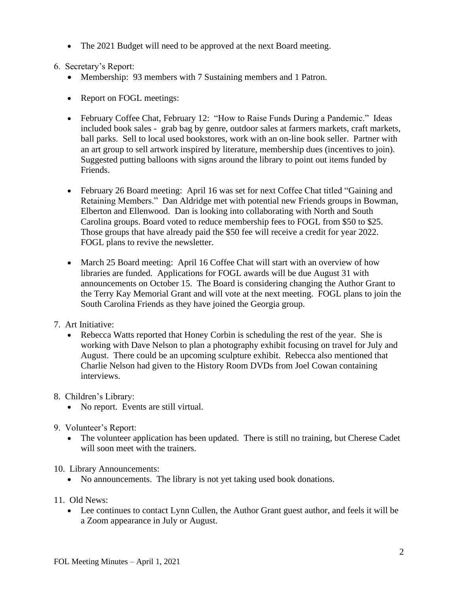• The 2021 Budget will need to be approved at the next Board meeting.

6. Secretary's Report:

- Membership: 93 members with 7 Sustaining members and 1 Patron.
- Report on FOGL meetings:
- February Coffee Chat, February 12: "How to Raise Funds During a Pandemic." Ideas included book sales - grab bag by genre, outdoor sales at farmers markets, craft markets, ball parks. Sell to local used bookstores, work with an on-line book seller. Partner with an art group to sell artwork inspired by literature, membership dues (incentives to join). Suggested putting balloons with signs around the library to point out items funded by Friends.
- February 26 Board meeting: April 16 was set for next Coffee Chat titled "Gaining and Retaining Members." Dan Aldridge met with potential new Friends groups in Bowman, Elberton and Ellenwood. Dan is looking into collaborating with North and South Carolina groups. Board voted to reduce membership fees to FOGL from \$50 to \$25. Those groups that have already paid the \$50 fee will receive a credit for year 2022. FOGL plans to revive the newsletter.
- March 25 Board meeting: April 16 Coffee Chat will start with an overview of how libraries are funded. Applications for FOGL awards will be due August 31 with announcements on October 15. The Board is considering changing the Author Grant to the Terry Kay Memorial Grant and will vote at the next meeting. FOGL plans to join the South Carolina Friends as they have joined the Georgia group.
- 7. Art Initiative:
	- Rebecca Watts reported that Honey Corbin is scheduling the rest of the year. She is working with Dave Nelson to plan a photography exhibit focusing on travel for July and August. There could be an upcoming sculpture exhibit. Rebecca also mentioned that Charlie Nelson had given to the History Room DVDs from Joel Cowan containing interviews.
- 8. Children's Library:
	- No report. Events are still virtual.
- 9. Volunteer's Report:
	- The volunteer application has been updated. There is still no training, but Cherese Cadet will soon meet with the trainers.
- 10. Library Announcements:
	- No announcements. The library is not yet taking used book donations.
- 11. Old News:
	- Lee continues to contact Lynn Cullen, the Author Grant guest author, and feels it will be a Zoom appearance in July or August.